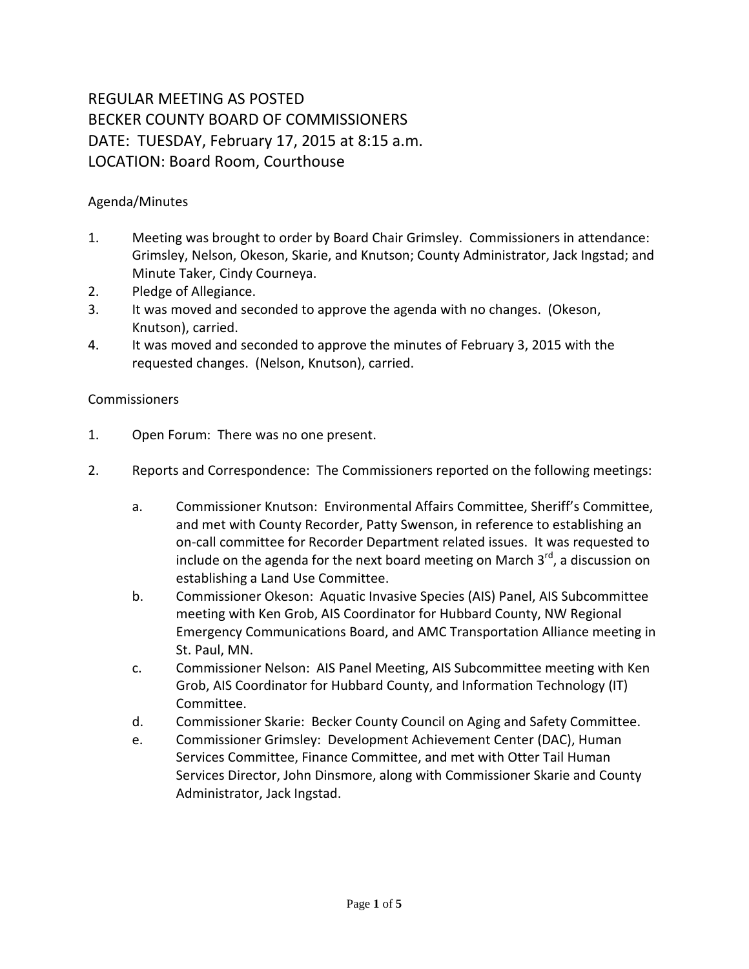## REGULAR MEETING AS POSTED BECKER COUNTY BOARD OF COMMISSIONERS DATE: TUESDAY, February 17, 2015 at 8:15 a.m. LOCATION: Board Room, Courthouse

## Agenda/Minutes

- 1. Meeting was brought to order by Board Chair Grimsley. Commissioners in attendance: Grimsley, Nelson, Okeson, Skarie, and Knutson; County Administrator, Jack Ingstad; and Minute Taker, Cindy Courneya.
- 2. Pledge of Allegiance.
- 3. It was moved and seconded to approve the agenda with no changes. (Okeson, Knutson), carried.
- 4. It was moved and seconded to approve the minutes of February 3, 2015 with the requested changes. (Nelson, Knutson), carried.

## **Commissioners**

- 1. Open Forum: There was no one present.
- 2. Reports and Correspondence: The Commissioners reported on the following meetings:
	- a. Commissioner Knutson: Environmental Affairs Committee, Sheriff's Committee, and met with County Recorder, Patty Swenson, in reference to establishing an on-call committee for Recorder Department related issues. It was requested to include on the agenda for the next board meeting on March  $3^{rd}$ , a discussion on establishing a Land Use Committee.
	- b. Commissioner Okeson: Aquatic Invasive Species (AIS) Panel, AIS Subcommittee meeting with Ken Grob, AIS Coordinator for Hubbard County, NW Regional Emergency Communications Board, and AMC Transportation Alliance meeting in St. Paul, MN.
	- c. Commissioner Nelson: AIS Panel Meeting, AIS Subcommittee meeting with Ken Grob, AIS Coordinator for Hubbard County, and Information Technology (IT) Committee.
	- d. Commissioner Skarie: Becker County Council on Aging and Safety Committee.
	- e. Commissioner Grimsley: Development Achievement Center (DAC), Human Services Committee, Finance Committee, and met with Otter Tail Human Services Director, John Dinsmore, along with Commissioner Skarie and County Administrator, Jack Ingstad.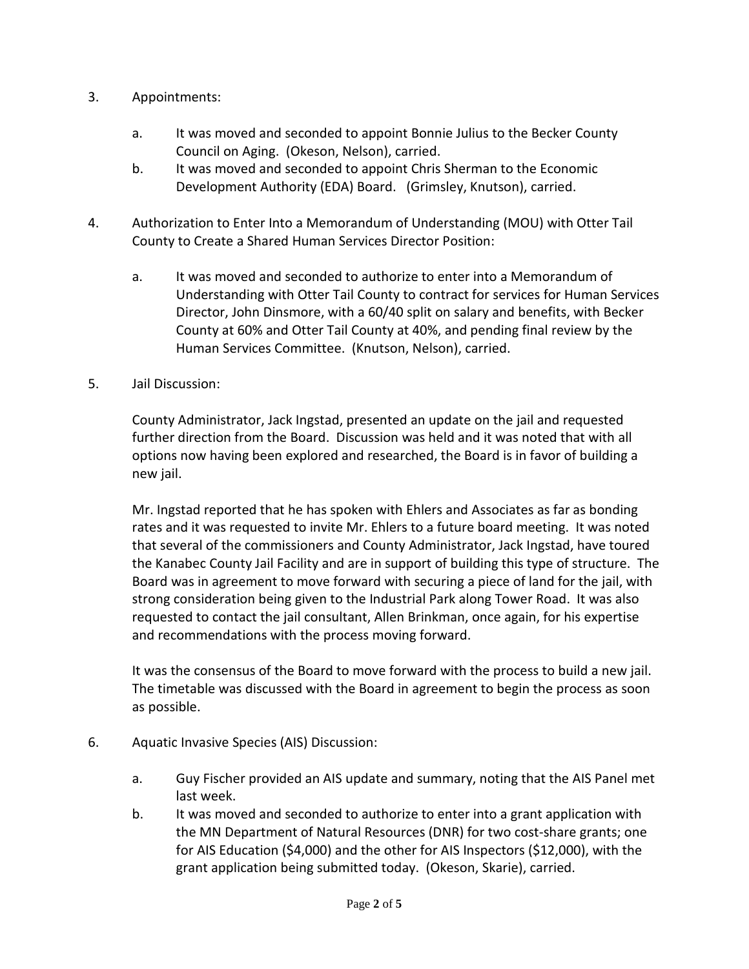- 3. Appointments:
	- a. It was moved and seconded to appoint Bonnie Julius to the Becker County Council on Aging. (Okeson, Nelson), carried.
	- b. It was moved and seconded to appoint Chris Sherman to the Economic Development Authority (EDA) Board. (Grimsley, Knutson), carried.
- 4. Authorization to Enter Into a Memorandum of Understanding (MOU) with Otter Tail County to Create a Shared Human Services Director Position:
	- a. It was moved and seconded to authorize to enter into a Memorandum of Understanding with Otter Tail County to contract for services for Human Services Director, John Dinsmore, with a 60/40 split on salary and benefits, with Becker County at 60% and Otter Tail County at 40%, and pending final review by the Human Services Committee. (Knutson, Nelson), carried.
- 5. Jail Discussion:

County Administrator, Jack Ingstad, presented an update on the jail and requested further direction from the Board. Discussion was held and it was noted that with all options now having been explored and researched, the Board is in favor of building a new jail.

Mr. Ingstad reported that he has spoken with Ehlers and Associates as far as bonding rates and it was requested to invite Mr. Ehlers to a future board meeting. It was noted that several of the commissioners and County Administrator, Jack Ingstad, have toured the Kanabec County Jail Facility and are in support of building this type of structure. The Board was in agreement to move forward with securing a piece of land for the jail, with strong consideration being given to the Industrial Park along Tower Road. It was also requested to contact the jail consultant, Allen Brinkman, once again, for his expertise and recommendations with the process moving forward.

It was the consensus of the Board to move forward with the process to build a new jail. The timetable was discussed with the Board in agreement to begin the process as soon as possible.

- 6. Aquatic Invasive Species (AIS) Discussion:
	- a. Guy Fischer provided an AIS update and summary, noting that the AIS Panel met last week.
	- b. It was moved and seconded to authorize to enter into a grant application with the MN Department of Natural Resources (DNR) for two cost-share grants; one for AIS Education (\$4,000) and the other for AIS Inspectors (\$12,000), with the grant application being submitted today. (Okeson, Skarie), carried.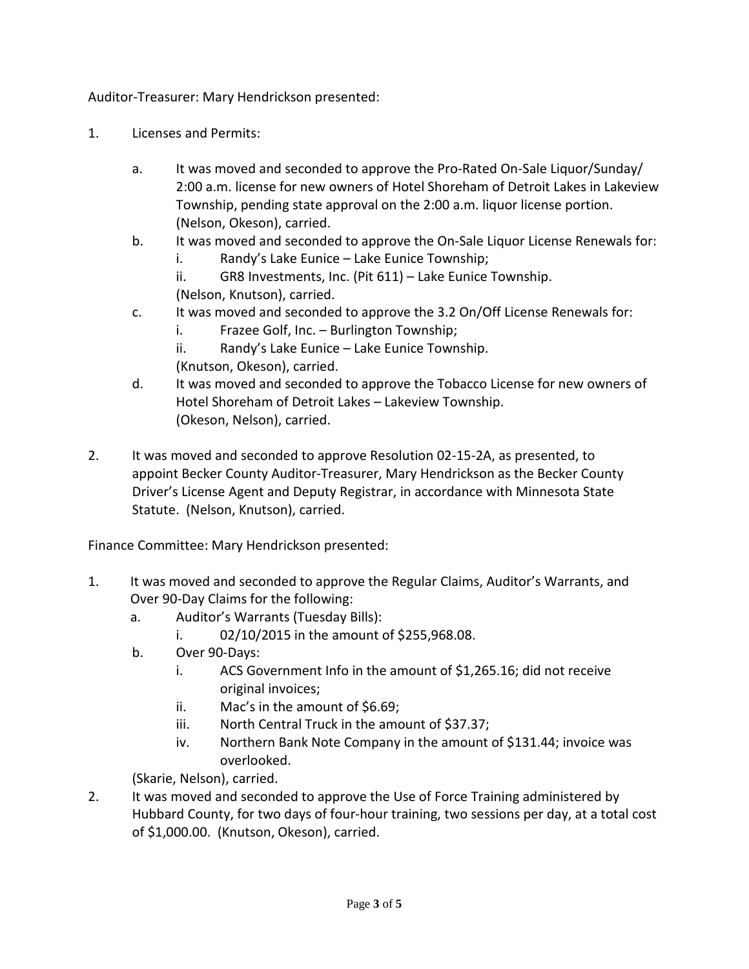Auditor-Treasurer: Mary Hendrickson presented:

- 1. Licenses and Permits:
	- a. It was moved and seconded to approve the Pro-Rated On-Sale Liquor/Sunday/ 2:00 a.m. license for new owners of Hotel Shoreham of Detroit Lakes in Lakeview Township, pending state approval on the 2:00 a.m. liquor license portion. (Nelson, Okeson), carried.
	- b. It was moved and seconded to approve the On-Sale Liquor License Renewals for:
		- i. Randy's Lake Eunice Lake Eunice Township;
		- ii. GR8 Investments, Inc. (Pit 611) Lake Eunice Township. (Nelson, Knutson), carried.
	- c. It was moved and seconded to approve the 3.2 On/Off License Renewals for:
		- i. Frazee Golf, Inc. Burlington Township;
		- ii. Randy's Lake Eunice Lake Eunice Township.
		- (Knutson, Okeson), carried.
	- d. It was moved and seconded to approve the Tobacco License for new owners of Hotel Shoreham of Detroit Lakes – Lakeview Township. (Okeson, Nelson), carried.
- 2. It was moved and seconded to approve Resolution 02-15-2A, as presented, to appoint Becker County Auditor-Treasurer, Mary Hendrickson as the Becker County Driver's License Agent and Deputy Registrar, in accordance with Minnesota State Statute. (Nelson, Knutson), carried.

Finance Committee: Mary Hendrickson presented:

- 1. It was moved and seconded to approve the Regular Claims, Auditor's Warrants, and Over 90-Day Claims for the following:
	- a. Auditor's Warrants (Tuesday Bills):
		- i. 02/10/2015 in the amount of \$255,968.08.
	- b. Over 90-Days:
		- i. ACS Government Info in the amount of \$1,265.16; did not receive original invoices;
		- ii. Mac's in the amount of \$6.69;
		- iii. North Central Truck in the amount of \$37.37;
		- iv. Northern Bank Note Company in the amount of \$131.44; invoice was overlooked.

(Skarie, Nelson), carried.

2. It was moved and seconded to approve the Use of Force Training administered by Hubbard County, for two days of four-hour training, two sessions per day, at a total cost of \$1,000.00. (Knutson, Okeson), carried.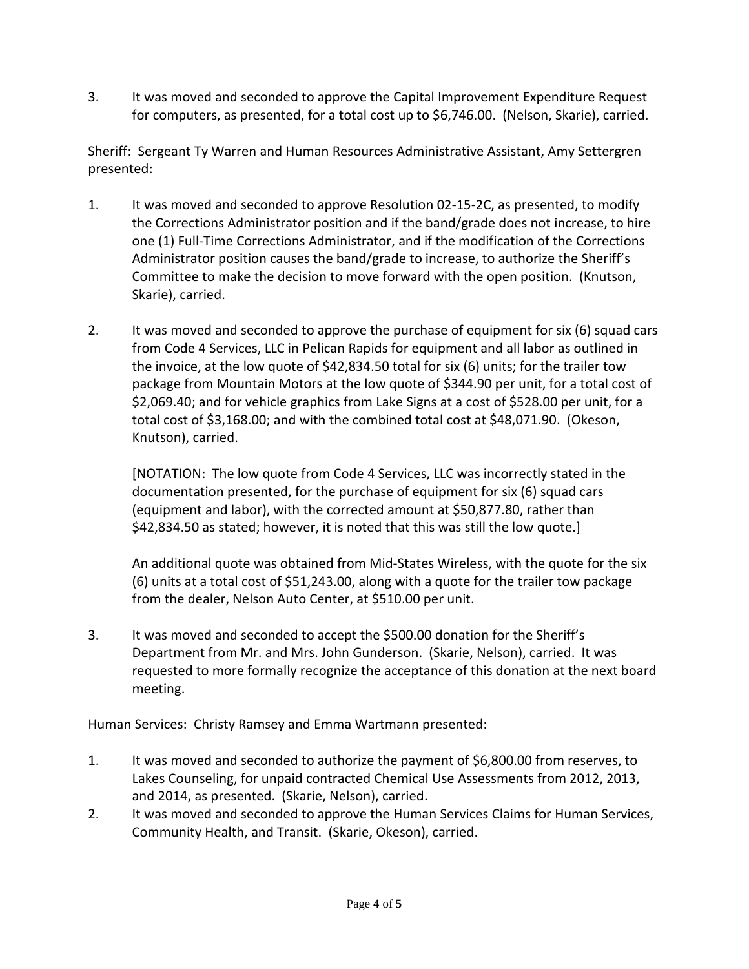3. It was moved and seconded to approve the Capital Improvement Expenditure Request for computers, as presented, for a total cost up to \$6,746.00. (Nelson, Skarie), carried.

Sheriff: Sergeant Ty Warren and Human Resources Administrative Assistant, Amy Settergren presented:

- 1. It was moved and seconded to approve Resolution 02-15-2C, as presented, to modify the Corrections Administrator position and if the band/grade does not increase, to hire one (1) Full-Time Corrections Administrator, and if the modification of the Corrections Administrator position causes the band/grade to increase, to authorize the Sheriff's Committee to make the decision to move forward with the open position. (Knutson, Skarie), carried.
- 2. It was moved and seconded to approve the purchase of equipment for six (6) squad cars from Code 4 Services, LLC in Pelican Rapids for equipment and all labor as outlined in the invoice, at the low quote of \$42,834.50 total for six (6) units; for the trailer tow package from Mountain Motors at the low quote of \$344.90 per unit, for a total cost of \$2,069.40; and for vehicle graphics from Lake Signs at a cost of \$528.00 per unit, for a total cost of \$3,168.00; and with the combined total cost at \$48,071.90. (Okeson, Knutson), carried.

[NOTATION: The low quote from Code 4 Services, LLC was incorrectly stated in the documentation presented, for the purchase of equipment for six (6) squad cars (equipment and labor), with the corrected amount at \$50,877.80, rather than \$42,834.50 as stated; however, it is noted that this was still the low quote.]

An additional quote was obtained from Mid-States Wireless, with the quote for the six (6) units at a total cost of \$51,243.00, along with a quote for the trailer tow package from the dealer, Nelson Auto Center, at \$510.00 per unit.

3. It was moved and seconded to accept the \$500.00 donation for the Sheriff's Department from Mr. and Mrs. John Gunderson. (Skarie, Nelson), carried. It was requested to more formally recognize the acceptance of this donation at the next board meeting.

Human Services: Christy Ramsey and Emma Wartmann presented:

- 1. It was moved and seconded to authorize the payment of \$6,800.00 from reserves, to Lakes Counseling, for unpaid contracted Chemical Use Assessments from 2012, 2013, and 2014, as presented. (Skarie, Nelson), carried.
- 2. It was moved and seconded to approve the Human Services Claims for Human Services, Community Health, and Transit. (Skarie, Okeson), carried.